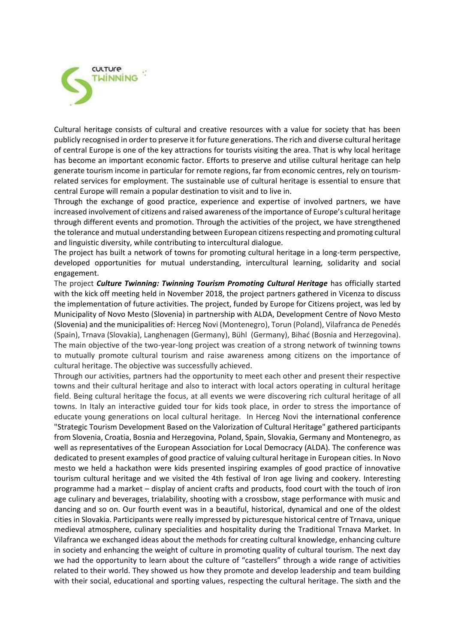

Cultural heritage consists of cultural and creative resources with a value for society that has been publicly recognised in order to preserve it for future generations. The rich and diverse cultural heritage of central Europe is one of the key attractions for tourists visiting the area. That is why local heritage has become an important economic factor. Efforts to preserve and utilise cultural heritage can help generate tourism income in particular for remote regions, far from economic centres, rely on tourismrelated services for employment. The sustainable use of cultural heritage is essential to ensure that central Europe will remain a popular destination to visit and to live in.

Through the exchange of good practice, experience and expertise of involved partners, we have increased involvement of citizens and raised awareness of the importance of Europe's cultural heritage through different events and promotion. Through the activities of the project, we have strengthened the tolerance and mutual understanding between European citizens respecting and promoting cultural and linguistic diversity, while contributing to intercultural dialogue.

The project has built a network of towns for promoting cultural heritage in a long-term perspective, developed opportunities for mutual understanding, intercultural learning, solidarity and social engagement.

The project *Culture Twinning: Twinning Tourism Promoting Cultural Heritage* has officially started with the kick off meeting held in November 2018, the project partners gathered in Vicenza to discuss the implementation of future activities. The project, funded by Europe for Citizens project, was led by Municipality of Novo Mesto (Slovenia) in partnership with ALDA, Development Centre of Novo Mesto (Slovenia) and the municipalities of: Herceg Novi (Montenegro), Torun (Poland), Vilafranca de Penedés (Spain), Trnava (Slovakia), Langhenagen (Germany), Bühl (Germany), Bihać (Bosnia and Herzegovina). The main objective of the two-year-long project was creation of a strong network of twinning towns to mutually promote cultural tourism and raise awareness among citizens on the importance of cultural heritage. The objective was successfully achieved.

Through our activities, partners had the opportunity to meet each other and present their respective towns and their cultural heritage and also to interact with local actors operating in cultural heritage field. Being cultural heritage the focus, at all events we were discovering rich cultural heritage of all towns. In Italy an interactive guided tour for kids took place, in order to stress the importance of educate young generations on local cultural heritage. In Herceg Novi the international conference "Strategic Tourism Development Based on the Valorization of Cultural Heritage" gathered participants from Slovenia, Croatia, Bosnia and Herzegovina, Poland, Spain, Slovakia, Germany and Montenegro, as well as representatives of the European Association for Local Democracy (ALDA). The conference was dedicated to present examples of good practice of valuing cultural heritage in European cities. In Novo mesto we held a hackathon were kids presented inspiring examples of good practice of innovative tourism cultural heritage and we visited the 4th festival of Iron age living and cookery. Interesting programme had a market – display of ancient crafts and products, food court with the touch of iron age culinary and beverages, trialability, shooting with a crossbow, stage performance with music and dancing and so on. Our fourth event was in a beautiful, historical, dynamical and one of the oldest cities in Slovakia. Participants were really impressed by picturesque historical centre of Trnava, unique medieval atmosphere, culinary specialities and hospitality during the Traditional Trnava Market. In Vilafranca we exchanged ideas about the methods for creating cultural knowledge, enhancing culture in society and enhancing the weight of culture in promoting quality of cultural tourism. The next day we had the opportunity to learn about the culture of "castellers" through a wide range of activities related to their world. They showed us how they promote and develop leadership and team building with their social, educational and sporting values, respecting the cultural heritage. The sixth and the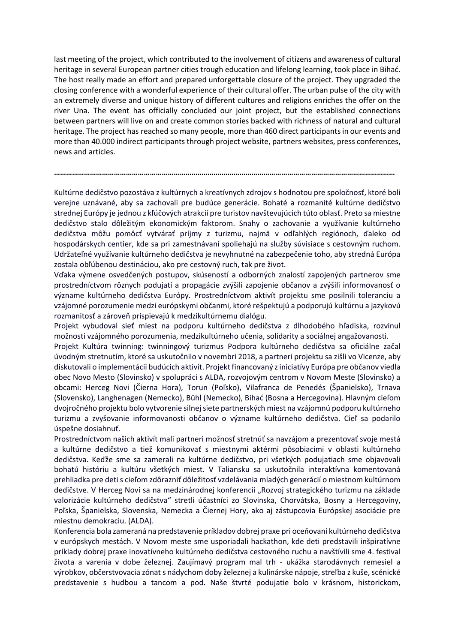last meeting of the project, which contributed to the involvement of citizens and awareness of cultural heritage in several European partner cities trough education and lifelong learning, took place in Bihać. The host really made an effort and prepared unforgettable closure of the project. They upgraded the closing conference with a wonderful experience of their cultural offer. The urban pulse of the city with an extremely diverse and unique history of different cultures and religions enriches the offer on the river Una. The event has officially concluded our joint project, but the established connections between partners will live on and create common stories backed with richness of natural and cultural heritage. The project has reached so many people, more than 460 direct participants in our events and more than 40.000 indirect participants through project website, partners websites, press conferences, news and articles.

Kultúrne dedičstvo pozostáva z kultúrnych a kreatívnych zdrojov s hodnotou pre spoločnosť, ktoré boli verejne uznávané, aby sa zachovali pre budúce generácie. Bohaté a rozmanité kultúrne dedičstvo strednej Európy je jednou z kľúčových atrakcií pre turistov navštevujúcich túto oblasť. Preto sa miestne dedičstvo stalo dôležitým ekonomickým faktorom. Snahy o zachovanie a využívanie kultúrneho dedičstva môžu pomôcť vytvárať príjmy z turizmu, najmä v odľahlých regiónoch, ďaleko od hospodárskych centier, kde sa pri zamestnávaní spoliehajú na služby súvisiace s cestovným ruchom. Udržateľné využívanie kultúrneho dedičstva je nevyhnutné na zabezpečenie toho, aby stredná Európa zostala obľúbenou destináciou, ako pre cestovný ruch, tak pre život.

**………………………………………………………………………………………………………………………………………………………**

Vďaka výmene osvedčených postupov, skúseností a odborných znalostí zapojených partnerov sme prostredníctvom rôznych podujatí a propagácie zvýšili zapojenie občanov a zvýšili informovanosť o význame kultúrneho dedičstva Európy. Prostredníctvom aktivít projektu sme posilnili toleranciu a vzájomné porozumenie medzi európskymi občanmi, ktoré rešpektujú a podporujú kultúrnu a jazykovú rozmanitosť a zároveň prispievajú k medzikultúrnemu dialógu.

Projekt vybudoval sieť miest na podporu kultúrneho dedičstva z dlhodobého hľadiska, rozvinul možnosti vzájomného porozumenia, medzikultúrneho učenia, solidarity a sociálnej angažovanosti.

Projekt Kultúra twinning: twinningový turizmus Podpora kultúrneho dedičstva sa oficiálne začal úvodným stretnutím, ktoré sa uskutočnilo v novembri 2018, a partneri projektu sa zišli vo Vicenze, aby diskutovali o implementácii budúcich aktivít. Projekt financovaný z iniciatívy Európa pre občanov viedla obec Novo Mesto (Slovinsko) v spolupráci s ALDA, rozvojovým centrom v Novom Meste (Slovinsko) a obcami: Herceg Novi (Čierna Hora), Torun (Poľsko), Vilafranca de Penedés (Španielsko), Trnava (Slovensko), Langhenagen (Nemecko), Bühl (Nemecko), Bihać (Bosna a Hercegovina). Hlavným cieľom dvojročného projektu bolo vytvorenie silnej siete partnerských miest na vzájomnú podporu kultúrneho turizmu a zvyšovanie informovanosti občanov o význame kultúrneho dedičstva. Cieľ sa podarilo úspešne dosiahnuť.

Prostredníctvom našich aktivít mali partneri možnosť stretnúť sa navzájom a prezentovať svoje mestá a kultúrne dedičstvo a tiež komunikovať s miestnymi aktérmi pôsobiacimi v oblasti kultúrneho dedičstva. Keďže sme sa zamerali na kultúrne dedičstvo, pri všetkých podujatiach sme objavovali bohatú históriu a kultúru všetkých miest. V Taliansku sa uskutočnila interaktívna komentovaná prehliadka pre deti s cieľom zdôrazniť dôležitosť vzdelávania mladých generácií o miestnom kultúrnom dedičstve. V Herceg Novi sa na medzinárodnej konferencii "Rozvoj strategického turizmu na základe valorizácie kultúrneho dedičstva" stretli účastníci zo Slovinska, Chorvátska, Bosny a Hercegoviny, Poľska, Španielska, Slovenska, Nemecka a Čiernej Hory, ako aj zástupcovia Európskej asociácie pre miestnu demokraciu. (ALDA).

Konferencia bola zameraná na predstavenie príkladov dobrej praxe pri oceňovaní kultúrneho dedičstva v európskych mestách. V Novom meste sme usporiadali hackathon, kde deti predstavili inšpiratívne príklady dobrej praxe inovatívneho kultúrneho dedičstva cestovného ruchu a navštívili sme 4. festival života a varenia v dobe železnej. Zaujímavý program mal trh - ukážka starodávnych remesiel a výrobkov, občerstvovacia zónat s nádychom doby železnej a kulinárske nápoje, streľba z kuše, scénické predstavenie s hudbou a tancom a pod. Naše štvrté podujatie bolo v krásnom, historickom,